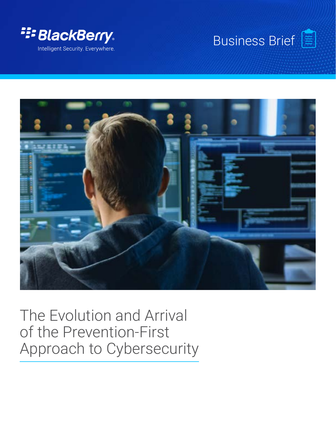





# The Evolution and Arrival of the Prevention-First Approach to Cybersecurity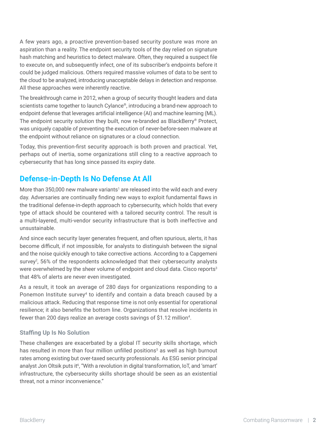A few years ago, a proactive prevention-based security posture was more an aspiration than a reality. The endpoint security tools of the day relied on signature hash matching and heuristics to detect malware. Often, they required a suspect file to execute on, and subsequently infect, one of its subscriber's endpoints before it could be judged malicious. Others required massive volumes of data to be sent to the cloud to be analyzed, introducing unacceptable delays in detection and response. All these approaches were inherently reactive.

The breakthrough came in 2012, when a group of security thought leaders and data scientists came together to launch Cylance®, introducing a brand-new approach to endpoint defense that leverages artificial intelligence (AI) and machine learning (ML). The endpoint security solution they built, now re-branded as BlackBerry® Protect, was uniquely capable of preventing the execution of never-before-seen malware at the endpoint without reliance on signatures or a cloud connection.

Today, this prevention-first security approach is both proven and practical. Yet, perhaps out of inertia, some organizations still cling to a reactive approach to cybersecurity that has long since passed its expiry date.

# **Defense-in-Depth Is No Defense At All**

More than 350,000 new malware variants<sup>1</sup> are released into the wild each and every day. Adversaries are continually finding new ways to exploit fundamental flaws in the traditional defense-in-depth approach to cybersecurity, which holds that every type of attack should be countered with a tailored security control. The result is a multi-layered, multi-vendor security infrastructure that is both ineffective and unsustainable.

And since each security layer generates frequent, and often spurious, alerts, it has become difficult, if not impossible, for analysts to distinguish between the signal and the noise quickly enough to take corrective actions. According to a Capgemeni survey<sup>2</sup>, 56% of the respondents acknowledged that their cybersecurity analysts were overwhelmed by the sheer volume of endpoint and cloud data. Cisco reports<sup>3</sup> that 48% of alerts are never even investigated.

As a result, it took an average of 280 days for organizations responding to a Ponemon Institute survey<sup>4</sup> to identify and contain a data breach caused by a malicious attack. Reducing that response time is not only essential for operational resilience; it also benefits the bottom line. Organizations that resolve incidents in fewer than 200 days realize an average costs savings of \$1.12 million<sup>4</sup>.

### **Staffing Up Is No Solution**

These challenges are exacerbated by a global IT security skills shortage, which has resulted in more than four million unfilled positions<sup>5</sup> as well as high burnout rates among existing but over-taxed security professionals. As ESG senior principal analyst Jon Oltsik puts it<sup>6</sup>, "With a revolution in digital transformation, IoT, and 'smart' infrastructure, the cybersecurity skills shortage should be seen as an existential threat, not a minor inconvenience."